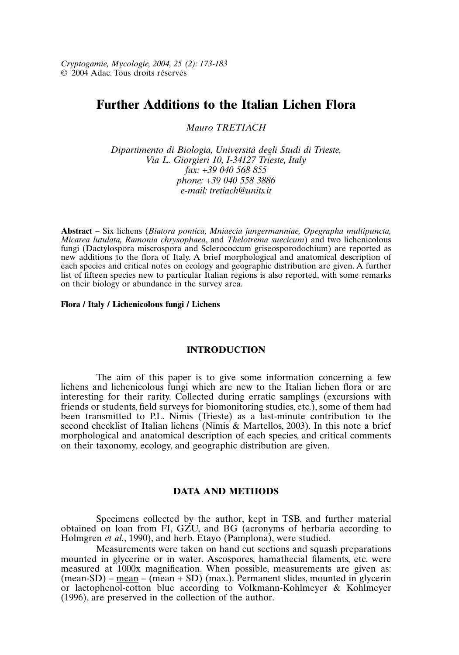# **Further Additions to the Italian Lichen Flora**

*Mauro TRETIACH*

*Dipartimento di Biologia, Università degli Studi di Trieste, Via L. Giorgieri 10, I-34127 Trieste, Italy fax: +39 040 568 855 phone: +39 040 558 3886 e-mail: tretiach@units.it*

**Abstract** – Six lichens (*Biatora pontica, Mniaecia jungermanniae, Opegrapha multipuncta, Micarea lutulata, Ramonia chrysophaea*, and *Thelotrema suecicum*) and two lichenicolous fungi (Dactylospora miscrospora and Sclerococcum griseosporodochium) are reported as new additions to the flora of Italy. A brief morphological and anatomical description of each species and critical notes on ecology and geographic distribution are given. A further list of fifteen species new to particular Italian regions is also reported, with some remarks on their biology or abundance in the survey area.

## **Flora / Italy / Lichenicolous fungi / Lichens**

## **INTRODUCTION**

The aim of this paper is to give some information concerning a few lichens and lichenicolous fungi which are new to the Italian lichen flora or are interesting for their rarity. Collected during erratic samplings (excursions with friends or students, field surveys for biomonitoring studies, etc.), some of them had been transmitted to P.L. Nimis (Trieste) as a last-minute contribution to the second checklist of Italian lichens (Nimis & Martellos, 2003). In this note a brief morphological and anatomical description of each species, and critical comments on their taxonomy, ecology, and geographic distribution are given.

# **DATA AND METHODS**

Specimens collected by the author, kept in TSB, and further material obtained on loan from FI, GZU, and BG (acronyms of herbaria according to Holmgren *et al.*, 1990), and herb. Etayo (Pamplona), were studied.

Measurements were taken on hand cut sections and squash preparations mounted in glycerine or in water. Ascospores, hamathecial filaments, etc. were measured at 1000x magnification. When possible, measurements are given as: (mean-SD) – mean – (mean + SD) (max.). Permanent slides, mounted in glycerin or lactophenol-cotton blue according to Volkmann-Kohlmeyer & Kohlmeyer (1996), are preserved in the collection of the author.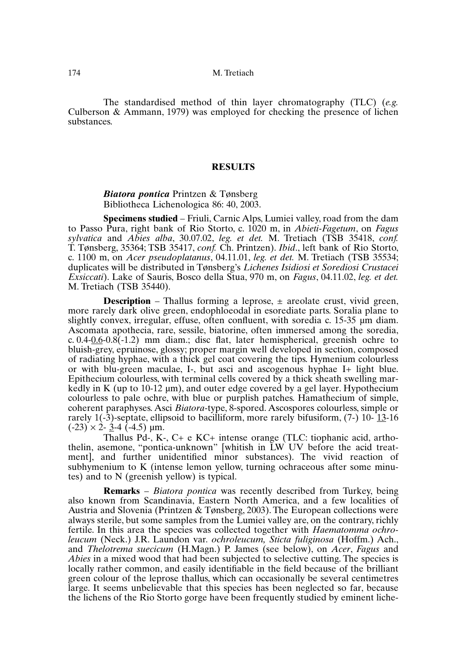The standardised method of thin layer chromatography (TLC) (*e.g.* Culberson & Ammann, 1979) was employed for checking the presence of lichen substances.

## **RESULTS**

*Biatora pontica* Printzen & Tønsberg Bibliotheca Lichenologica 86: 40, 2003.

**Specimens studied** – Friuli, Carnic Alps, Lumiei valley, road from the dam to Passo Pura, right bank of Rio Storto, c. 1020 m, in *Abieti-Fagetum*, on *Fagus sylvatica* and *Abies alba*, 30.07.02, *leg. et det.* M. Tretiach (TSB 35418, *conf.* T. Tønsberg, 35364; TSB 35417, *conf.* Ch. Printzen). *Ibid*., left bank of Rio Storto, c. 1100 m, on *Acer pseudoplatanus*, 04.11.01, *leg. et det.* M. Tretiach (TSB 35534; duplicates will be distributed in Tønsberg's *Lichenes Isidiosi et Sorediosi Crustacei Exsiccati*). Lake of Sauris, Bosco della Stua, 970 m, on *Fagus*, 04.11.02, *leg. et det.* M. Tretiach (TSB 35440).

**Description** – Thallus forming a leprose,  $\pm$  areolate crust, vivid green, more rarely dark olive green, endophloeodal in esorediate parts. Soralia plane to slightly convex, irregular, effuse, often confluent, with soredia c. 15-35 µm diam. Ascomata apothecia, rare, sessile, biatorine, often immersed among the soredia, c.  $0.4-\underline{0.6}$ - $0.8(-1.2)$  mm diam.; disc flat, later hemispherical, greenish ochre to bluish-grey, epruinose, glossy; proper margin well developed in section, composed of radiating hyphae, with a thick gel coat covering the tips. Hymenium colourless or with blu-green maculae, I-, but asci and ascogenous hyphae I+ light blue. Epithecium colourless, with terminal cells covered by a thick sheath swelling markedly in K (up to  $10-12 \mu m$ ), and outer edge covered by a gel layer. Hypothecium colourless to pale ochre, with blue or purplish patches. Hamathecium of simple, coherent paraphyses. Asci *Biatora-*type, 8-spored. Ascospores colourless, simple or rarely 1(-3)-septate, ellipsoid to bacilliform, more rarely bifusiform, (7-) 10- 13-16  $(-23) \times 2 - 3 - 4$  (-4.5) µm.

Thallus Pd-, K-, C+ e KC+ intense orange (TLC: tiophanic acid, arthothelin, asemone, "pontica-unknown" [whitish in LW UV before the acid treatment], and further unidentified minor substances). The vivid reaction of subhymenium to K (intense lemon yellow, turning ochraceous after some minutes) and to N (greenish yellow) is typical.

**Remarks** – *Biatora pontica* was recently described from Turkey, being also known from Scandinavia, Eastern North America, and a few localities of Austria and Slovenia (Printzen & Tønsberg, 2003). The European collections were always sterile, but some samples from the Lumiei valley are, on the contrary, richly fertile. In this area the species was collected together with *Haematomma ochroleucum* (Neck.) J.R. Laundon var*. ochroleucum, Sticta fuliginosa* (Hoffm.) Ach., and *Thelotrema suecicum* (H.Magn.) P. James (see below), on *Acer*, *Fagus* and *Abies* in a mixed wood that had been subjected to selective cutting. The species is locally rather common, and easily identifiable in the field because of the brilliant green colour of the leprose thallus, which can occasionally be several centimetres large. It seems unbelievable that this species has been neglected so far, because the lichens of the Rio Storto gorge have been frequently studied by eminent liche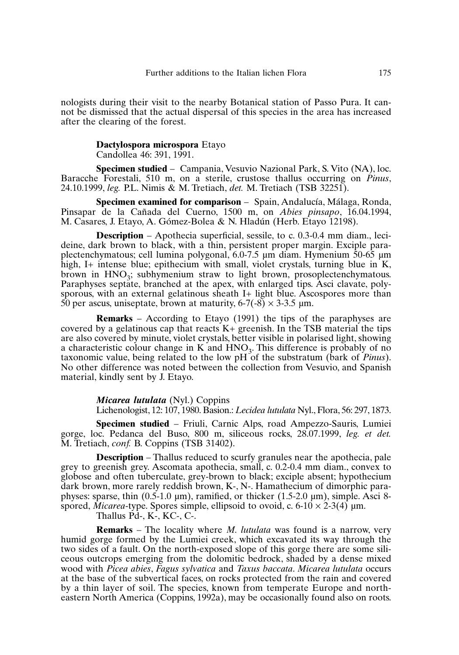nologists during their visit to the nearby Botanical station of Passo Pura. It cannot be dismissed that the actual dispersal of this species in the area has increased after the clearing of the forest.

> **Dactylospora microspora** Etayo Candollea 46: 391, 1991.

**Specimen studied** – Campania, Vesuvio Nazional Park, S. Vito (NA), loc. Baracche Forestali, 510 m, on a sterile, crustose thallus occurring on *Pinus*, 24.10.1999, *leg.* P.L. Nimis & M. Tretiach, *det.* M. Tretiach (TSB 32251).

**Specimen examined for comparison** – Spain, Andalucía, Málaga, Ronda, Pinsapar de la Cañada del Cuerno, 1500 m, on *Abies pinsapo*, 16.04.1994, M. Casares, J. Etayo, A. Gómez-Bolea & N. Hladún (Herb. Etayo 12198).

**Description** – Apothecia superficial, sessile, to c. 0.3-0.4 mm diam., lecideine, dark brown to black, with a thin, persistent proper margin. Exciple paraplectenchymatous; cell lumina polygonal, 6.0-7.5 µm diam. Hymenium 50-65 µm high, I+ intense blue; epithecium with small, violet crystals, turning blue in  $K$ , brown in  $HNO<sub>3</sub>$ ; subhymenium straw to light brown, prosoplectenchymatous. Paraphyses septate, branched at the apex, with enlarged tips. Asci clavate, polysporous, with an external gelatinous sheath I+ light blue. Ascospores more than 50 per ascus, uniseptate, brown at maturity,  $6-7(-8) \times 3-3.5$  µm.

**Remarks** – According to Etayo (1991) the tips of the paraphyses are covered by a gelatinous cap that reacts  $K_{+}$  greenish. In the TSB material the tips are also covered by minute, violet crystals, better visible in polarised light, showing a characteristic colour change in K and  $HNO<sub>3</sub>$ . This difference is probably of no taxonomic value, being related to the low pH of the substratum (bark of *Pinus*). No other difference was noted between the collection from Vesuvio, and Spanish material, kindly sent by J. Etayo.

> *Micarea lutulata* (Nyl.) Coppins Lichenologist, 12: 107, 1980. Basion.: *Lecidea lutulata* Nyl., Flora, 56: 297, 1873.

**Specimen studied** – Friuli, Carnic Alps, road Ampezzo-Sauris, Lumiei gorge, loc. Pedanca del Buso, 800 m, siliceous rocks, 28.07.1999, *leg. et det.* M. Tretiach, *conf.* B. Coppins (TSB 31402).

**Description** – Thallus reduced to scurfy granules near the apothecia, pale grey to greenish grey. Ascomata apothecia, small, c. 0.2-0.4 mm diam., convex to globose and often tuberculate, grey-brown to black; exciple absent; hypothecium dark brown, more rarely reddish brown, K-, N-. Hamathecium of dimorphic paraphyses: sparse, thin  $(0.5-1.0 \text{ µm})$ , ramified, or thicker  $(1.5-2.0 \text{ µm})$ , simple. Asci 8spored, *Micarea*-type. Spores simple, ellipsoid to ovoid, c. 6-10  $\times$  2-3(4)  $\mu$ m.

Thallus  $\overrightarrow{Pd}$ -,  $\overrightarrow{K}$ -,  $\overrightarrow{KC}$ -,  $\overrightarrow{C}$ -.

**Remarks** – The locality where *M. lutulata* was found is a narrow, very humid gorge formed by the Lumiei creek, which excavated its way through the two sides of a fault. On the north-exposed slope of this gorge there are some siliceous outcrops emerging from the dolomitic bedrock, shaded by a dense mixed wood with *Picea abies*, *Fagus sylvatica* and *Taxus baccata*. *Micarea lutulata* occurs at the base of the subvertical faces, on rocks protected from the rain and covered by a thin layer of soil. The species, known from temperate Europe and northeastern North America (Coppins, 1992a), may be occasionally found also on roots.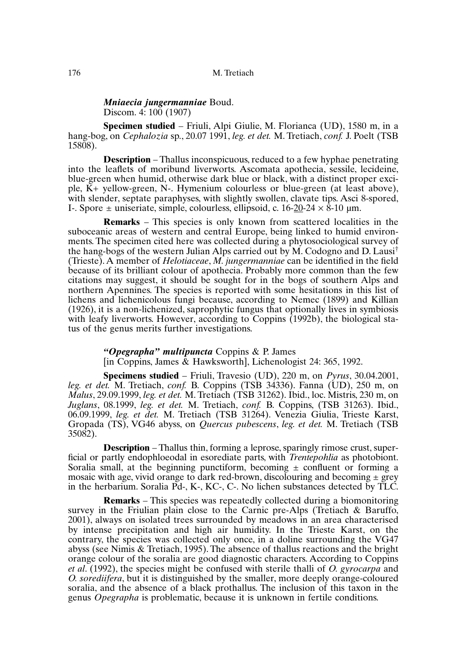*Mniaecia jungermanniae* Boud. Discom. 4: 100 (1907)

**Specimen studied** – Friuli, Alpi Giulie, M. Florianca (UD), 1580 m, in a hang-bog, on *Cephalozia* sp., 20.07 1991, *leg. et det.* M. Tretiach, *conf.* J. Poelt (TSB 15808).

**Description** – Thallus inconspicuous, reduced to a few hyphae penetrating into the leaflets of moribund liverworts. Ascomata apothecia, sessile, lecideine, blue-green when humid, otherwise dark blue or black, with a distinct proper exciple, K+ yellow-green, N-. Hymenium colourless or blue-green (at least above), with slender, septate paraphyses, with slightly swollen, clavate tips. Asci 8-spored, I-. Spore  $\pm$  uniseriate, simple, colourless, ellipsoid, c. 16-20-24  $\times$  8-10 µm.

**Remarks** – This species is only known from scattered localities in the suboceanic areas of western and central Europe, being linked to humid environments. The specimen cited here was collected during a phytosociological survey of the hang-bogs of the western Julian Alps carried out by M. Codogno and D. Lausi† (Trieste). A member of *Helotiaceae*, *M. jungermanniae* can be identified in the field because of its brilliant colour of apothecia. Probably more common than the few citations may suggest, it should be sought for in the bogs of southern Alps and northern Apennines. The species is reported with some hesitations in this list of lichens and lichenicolous fungi because, according to Nemec (1899) and Killian (1926), it is a non-lichenized, saprophytic fungus that optionally lives in symbiosis with leafy liverworts. However, according to Coppins (1992b), the biological status of the genus merits further investigations.

*"Opegrapha" multipuncta* Coppins & P. James

[in Coppins, James & Hawksworth], Lichenologist 24: 365, 1992.

**Specimens studied** – Friuli, Travesio (UD), 220 m, on *Pyrus*, 30.04.2001, *leg. et det.* M. Tretiach, *conf.* B. Coppins (TSB 34336). Fanna (UD), 250 m, on *Malus*, 29.09.1999, *leg. et det.* M. Tretiach (TSB 31262). Ibid., loc. Mistris, 230 m, on *Juglans*, 08.1999, *leg. et det.* M. Tretiach, *conf.* B. Coppins, (TSB 31263). Ibid., 06.09.1999, *leg. et det.* M. Tretiach (TSB 31264). Venezia Giulia, Trieste Karst, Gropada (TS), VG46 abyss, on *Quercus pubescens*, *leg. et det.* M. Tretiach (TSB 35082).

**Description** – Thallus thin, forming a leprose, sparingly rimose crust, superficial or partly endophloeodal in esorediate parts, with *Trentepohlia* as photobiont. Soralia small, at the beginning punctiform, becoming  $\pm$  confluent or forming a mosaic with age, vivid orange to dark red-brown, discolouring and becoming  $\pm$  grey in the herbarium. Soralia Pd-, K-, KC-, C-. No lichen substances detected by TLC.

**Remarks** – This species was repeatedly collected during a biomonitoring survey in the Friulian plain close to the Carnic pre-Alps (Tretiach & Baruffo, 2001), always on isolated trees surrounded by meadows in an area characterised by intense precipitation and high air humidity. In the Trieste Karst, on the contrary, the species was collected only once, in a doline surrounding the VG47 abyss (see Nimis & Tretiach, 1995). The absence of thallus reactions and the bright orange colour of the soralia are good diagnostic characters. According to Coppins *et al*. (1992), the species might be confused with sterile thalli of *O. gyrocarpa* and *O. sorediifera*, but it is distinguished by the smaller, more deeply orange-coloured soralia, and the absence of a black prothallus. The inclusion of this taxon in the genus *Opegrapha* is problematic, because it is unknown in fertile conditions.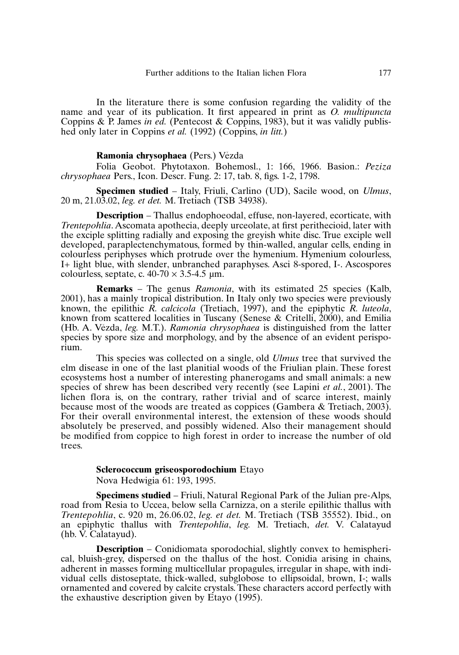In the literature there is some confusion regarding the validity of the name and year of its publication. It first appeared in print as *O. multipuncta* Coppins & P. James *in ed.* (Pentecost & Coppins, 1983), but it was validly published only later in Coppins *et al.* (1992) (Coppins, *in litt.*)

## **Ramonia chrysophaea** (Pers.) Vězda

Folia Geobot. Phytotaxon. Bohemosl., 1: 166, 1966. Basion.: *Peziza chrysophaea* Pers., Icon. Descr. Fung. 2: 17, tab. 8, figs. 1-2, 1798.

**Specimen studied** – Italy, Friuli, Carlino (UD), Sacile wood, on *Ulmus*, 20 m, 21.03.02, *leg. et det.* M. Tretiach (TSB 34938).

**Description** – Thallus endophoeodal, effuse, non-layered, ecorticate, with *Trentepohlia*. Ascomata apothecia, deeply urceolate, at first perithecioid, later with the exciple splitting radially and exposing the greyish white disc. True exciple well developed, paraplectenchymatous, formed by thin-walled, angular cells, ending in colourless periphyses which protrude over the hymenium. Hymenium colourless, I+ light blue, with slender, unbranched paraphyses. Asci 8-spored, I-. Ascospores colourless, septate, c.  $40-70 \times 3.5-4.5 \text{ µm}$ .

**Remarks** – The genus *Ramonia*, with its estimated 25 species (Kalb, 2001), has a mainly tropical distribution. In Italy only two species were previously known, the epilithic *R. calcicola* (Tretiach, 1997), and the epiphytic *R. luteola*, known from scattered localities in Tuscany (Senese & Critelli, 2000), and Emilia (Hb. A. Vezda, *leg. M.T.). Ramonia chrysophaea* is distinguished from the latter species by spore size and morphology, and by the absence of an evident perisporium.

This species was collected on a single, old *Ulmus* tree that survived the elm disease in one of the last planitial woods of the Friulian plain. These forest ecosystems host a number of interesting phanerogams and small animals: a new species of shrew has been described very recently (see Lapini *et al.*, 2001). The lichen flora is, on the contrary, rather trivial and of scarce interest, mainly because most of the woods are treated as coppices (Gambera & Tretiach, 2003). For their overall environmental interest, the extension of these woods should absolutely be preserved, and possibly widened. Also their management should be modified from coppice to high forest in order to increase the number of old trees.

## **Sclerococcum griseosporodochium** Etayo

Nova Hedwigia 61: 193, 1995.

**Specimens studied** – Friuli, Natural Regional Park of the Julian pre-Alps, road from Resia to Uccea, below sella Carnizza, on a sterile epilithic thallus with *Trentepohlia*, c. 920 m, 26.06.02, *leg. et det.* M. Tretiach (TSB 35552). Ibid., on an epiphytic thallus with *Trentepohlia*, *leg.* M. Tretiach, *det.* V. Calatayud (hb. V. Calatayud).

**Description** – Conidiomata sporodochial, slightly convex to hemispherical, bluish-grey, dispersed on the thallus of the host. Conidia arising in chains, adherent in masses forming multicellular propagules, irregular in shape, with individual cells distoseptate, thick-walled, subglobose to ellipsoidal, brown, I-; walls ornamented and covered by calcite crystals. These characters accord perfectly with the exhaustive description given by Etayo (1995).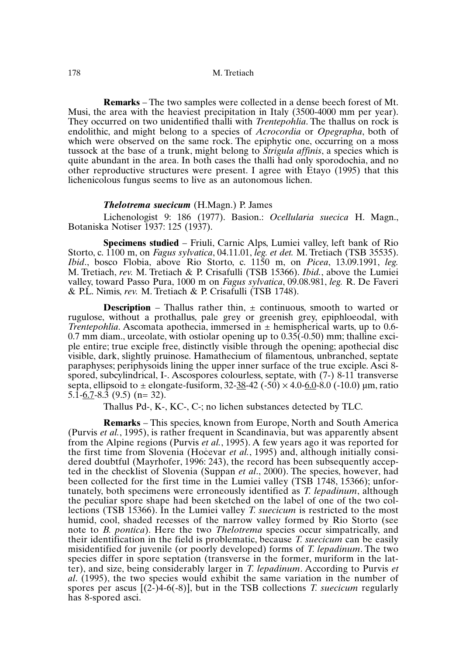**Remarks** – The two samples were collected in a dense beech forest of Mt. Musi, the area with the heaviest precipitation in Italy (3500-4000 mm per year). They occurred on two unidentified thalli with *Trentepohlia*. The thallus on rock is endolithic, and might belong to a species of *Acrocordia* or *Opegrapha*, both of which were observed on the same rock. The epiphytic one, occurring on a moss tussock at the base of a trunk, might belong to *Strigula affinis*, a species which is quite abundant in the area. In both cases the thalli had only sporodochia, and no other reproductive structures were present. I agree with Etayo (1995) that this lichenicolous fungus seems to live as an autonomous lichen.

#### *Thelotrema suecicum* (H.Magn.) P. James

Lichenologist 9: 186 (1977). Basion.: *Ocellularia suecica* H. Magn., Botaniska Notiser 1937: 125 (1937).

**Specimens studied** – Friuli, Carnic Alps, Lumiei valley, left bank of Rio Storto, c. 1100 m, on *Fagus sylvatica*, 04.11.01, *leg. et det.* M. Tretiach (TSB 35535). *Ibid*., bosco Flobia, above Rio Storto, c. 1150 m, on *Picea*, 13.09.1991, *leg.* M. Tretiach, *rev.* M. Tretiach & P. Crisafulli (TSB 15366). *Ibid.*, above the Lumiei valley, toward Passo Pura, 1000 m on *Fagus sylvatica*, 09.08.981, *leg.* R. De Faveri & P.L. Nimis, *rev.* M. Tretiach & P. Crisafulli (TSB 1748).

**Description** – Thallus rather thin,  $\pm$  continuous, smooth to warted or rugulose, without a prothallus, pale grey or greenish grey, epiphloeodal, with *Trentepohlia*. Ascomata apothecia, immersed in  $\pm$  hemispherical warts, up to 0.6-0.7 mm diam., urceolate, with ostiolar opening up to  $0.35(-0.50)$  mm; thalline exciple entire; true exciple free, distinctly visible through the opening; apothecial disc visible, dark, slightly pruinose. Hamathecium of filamentous, unbranched, septate paraphyses; periphysoids lining the upper inner surface of the true exciple. Asci 8 spored, subcylindrical, I-. Ascospores colourless, septate, with (7-) 8-11 transverse septa, ellipsoid to  $\pm$  elongate-fusiform, 32-38-42 (-50)  $\times$  4.0-6.0-8.0 (-10.0) µm, ratio  $5.\overline{1}$ -6.7-8.3 (9.5) (n= 32).

Thallus Pd-, K-, KC-, C-; no lichen substances detected by TLC.

**Remarks** – This species, known from Europe, North and South America (Purvis *et al.*, 1995), is rather frequent in Scandinavia, but was apparently absent from the Alpine regions (Purvis *et al.*, 1995). A few years ago it was reported for the first time from Slovenia (Hocevar *et al.*, 1995) and, although initially considered doubtful (Mayrhofer, 1996: 243), the record has been subsequently accepted in the checklist of Slovenia (Suppan *et al*., 2000). The species, however, had been collected for the first time in the Lumiei valley (TSB 1748, 15366); unfortunately, both specimens were erroneously identified as *T. lepadinum*, although the peculiar spore shape had been sketched on the label of one of the two collections (TSB 15366). In the Lumiei valley *T. suecicum* is restricted to the most humid, cool, shaded recesses of the narrow valley formed by Rio Storto (see note to *B. pontica*). Here the two *Thelotrema* species occur simpatrically, and their identification in the field is problematic, because *T. suecicum* can be easily misidentified for juvenile (or poorly developed) forms of *T. lepadinum*. The two species differ in spore septation (transverse in the former, muriform in the latter), and size, being considerably larger in *T. lepadinum*. According to Purvis *et al*. (1995), the two species would exhibit the same variation in the number of spores per ascus  $[(2-)4-6(-8)]$ , but in the TSB collections *T. suecicum* regularly has 8-spored asci.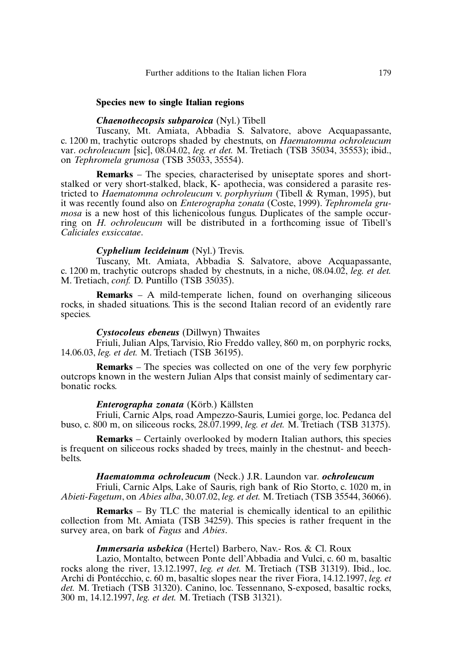#### **Species new to single Italian regions**

## *Chaenothecopsis subparoica* (Nyl.) Tibell

Tuscany, Mt. Amiata, Abbadia S. Salvatore, above Acquapassante, c. 1200 m, trachytic outcrops shaded by chestnuts, on *Haematomma ochroleucum* var. *ochroleucum* [sic], 08.04.02, *leg. et det.* M. Tretiach (TSB 35034, 35553); ibid., on *Tephromela grumosa* (TSB 35033, 35554).

**Remarks** – The species, characterised by uniseptate spores and shortstalked or very short-stalked, black, K- apothecia, was considered a parasite restricted to *Haematomma ochroleucum* v. *porphyrium* (Tibell & Ryman, 1995), but it was recently found also on *Enterographa zonata* (Coste, 1999). *Tephromela grumosa* is a new host of this lichenicolous fungus. Duplicates of the sample occurring on *H. ochroleucum* will be distributed in a forthcoming issue of Tibell's *Caliciales exsiccatae*.

## *Cyphelium lecideinum* (Nyl.) Trevis.

Tuscany, Mt. Amiata, Abbadia S. Salvatore, above Acquapassante, c. 1200 m, trachytic outcrops shaded by chestnuts, in a niche, 08.04.02, *leg. et det.* M. Tretiach, *conf.* D. Puntillo (TSB 35035).

**Remarks** – A mild-temperate lichen, found on overhanging siliceous rocks, in shaded situations. This is the second Italian record of an evidently rare species.

## *Cystocoleus ebeneus* (Dillwyn) Thwaites

Friuli, Julian Alps, Tarvisio, Rio Freddo valley, 860 m, on porphyric rocks, 14.06.03, *leg. et det.* M. Tretiach (TSB 36195).

**Remarks** – The species was collected on one of the very few porphyric outcrops known in the western Julian Alps that consist mainly of sedimentary carbonatic rocks.

## *Enterographa zonata* (Körb.) Källsten

Friuli, Carnic Alps, road Ampezzo-Sauris, Lumiei gorge, loc. Pedanca del buso, c. 800 m, on siliceous rocks, 28.07.1999, *leg. et det.* M. Tretiach (TSB 31375).

**Remarks** – Certainly overlooked by modern Italian authors, this species is frequent on siliceous rocks shaded by trees, mainly in the chestnut- and beechbelts.

#### *Haematomma ochroleucum* (Neck.) J.R. Laundon var*. ochroleucum*

Friuli, Carnic Alps, Lake of Sauris, righ bank of Rio Storto, c. 1020 m, in *Abieti-Fagetum*, on *Abies alba*, 30.07.02, *leg. et det.* M. Tretiach (TSB 35544, 36066).

**Remarks** – By TLC the material is chemically identical to an epilithic collection from Mt. Amiata (TSB 34259). This species is rather frequent in the survey area, on bark of *Fagus* and *Abies*.

## *Immersaria usbekica* (Hertel) Barbero, Nav.- Ros. & Cl. Roux

Lazio, Montalto, between Ponte dell'Abbadia and Vulci, c. 60 m, basaltic rocks along the river, 13.12.1997, *leg. et det.* M. Tretiach (TSB 31319). Ibid., loc. Archi di Pontécchio, c. 60 m, basaltic slopes near the river Fiora, 14.12.1997, *leg. et det.* M. Tretiach (TSB 31320). Canino, loc. Tessennano, S-exposed, basaltic rocks, 300 m, 14.12.1997, *leg. et det.* M. Tretiach (TSB 31321).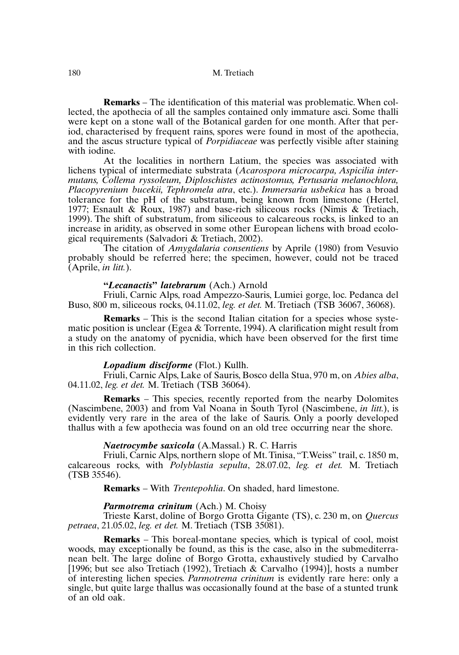**Remarks** – The identification of this material was problematic. When collected, the apothecia of all the samples contained only immature asci. Some thalli were kept on a stone wall of the Botanical garden for one month. After that period, characterised by frequent rains, spores were found in most of the apothecia, and the ascus structure typical of *Porpidiaceae* was perfectly visible after staining with iodine.

At the localities in northern Latium, the species was associated with lichens typical of intermediate substrata (*Acarospora microcarpa, Aspicilia intermutans, Collema ryssoleum, Diploschistes actinostomus, Pertusaria melanochlora, Placopyrenium bucekii, Tephromela atra*, etc.). *Immersaria usbekica* has a broad tolerance for the pH of the substratum, being known from limestone (Hertel, 1977; Esnault & Roux, 1987) and base-rich siliceous rocks (Nimis & Tretiach, 1999). The shift of substratum, from siliceous to calcareous rocks, is linked to an increase in aridity, as observed in some other European lichens with broad ecological requirements (Salvadori & Tretiach, 2002).

The citation of *Amygdalaria consentiens* by Aprile (1980) from Vesuvio probably should be referred here; the specimen, however, could not be traced (Aprile, *in litt.*).

## **"***Lecanactis***"** *latebrarum* (Ach.) Arnold

Friuli, Carnic Alps, road Ampezzo-Sauris, Lumiei gorge, loc. Pedanca del Buso, 800 m, siliceous rocks, 04.11.02, *leg. et det.* M. Tretiach (TSB 36067, 36068).

**Remarks** – This is the second Italian citation for a species whose systematic position is unclear (Egea & Torrente, 1994). A clarification might result from a study on the anatomy of pycnidia, which have been observed for the first time in this rich collection.

## *Lopadium disciforme* (Flot.) Kullh.

Friuli, Carnic Alps, Lake of Sauris, Bosco della Stua, 970 m, on *Abies alba*, 04.11.02, *leg. et det.* M. Tretiach (TSB 36064).

**Remarks** – This species, recently reported from the nearby Dolomites (Nascimbene, 2003) and from Val Noana in South Tyrol (Nascimbene, *in litt.*), is evidently very rare in the area of the lake of Sauris. Only a poorly developed thallus with a few apothecia was found on an old tree occurring near the shore.

## *Naetrocymbe saxicola* (A.Massal.) R. C. Harris

Friuli, Carnic Alps, northern slope of Mt. Tinisa, "T.Weiss" trail, c. 1850 m, calcareous rocks, with *Polyblastia sepulta*, 28.07.02, *leg. et det.* M. Tretiach (TSB 35546).

**Remarks** – With *Trentepohlia*. On shaded, hard limestone.

## *Parmotrema crinitum* (Ach.) M. Choisy

Trieste Karst, doline of Borgo Grotta Gigante (TS), c. 230 m, on *Quercus petraea*, 21.05.02, *leg. et det.* M. Tretiach (TSB 35081).

**Remarks** – This boreal-montane species, which is typical of cool, moist woods, may exceptionally be found, as this is the case, also in the submediterranean belt. The large doline of Borgo Grotta, exhaustively studied by Carvalho [1996; but see also Tretiach (1992), Tretiach & Carvalho (1994)], hosts a number of interesting lichen species. *Parmotrema crinitum* is evidently rare here: only a single, but quite large thallus was occasionally found at the base of a stunted trunk of an old oak.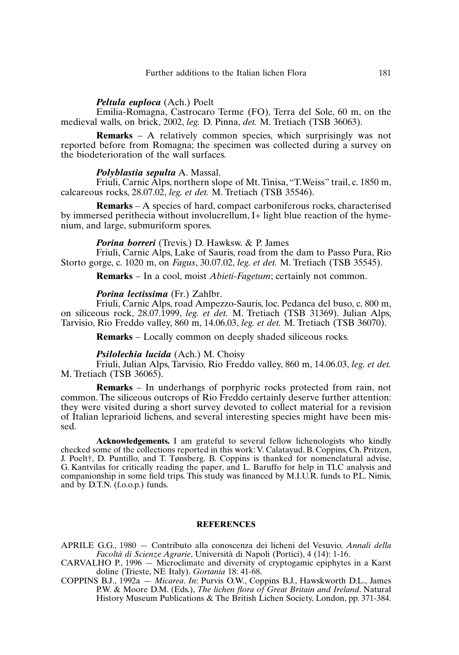#### *Peltula euploca* (Ach.) Poelt

Emilia-Romagna, Castrocaro Terme (FO), Terra del Sole, 60 m, on the medieval walls, on brick, 2002, *leg.* D. Pinna, *det.* M. Tretiach (TSB 36063).

**Remarks** – A relatively common species, which surprisingly was not reported before from Romagna; the specimen was collected during a survey on the biodeterioration of the wall surfaces.

## *Polyblastia sepulta* A. Massal.

Friuli, Carnic Alps, northern slope of Mt. Tinisa, "T.Weiss" trail, c. 1850 m, calcareous rocks, 28.07.02, *leg. et det.* M. Tretiach (TSB 35546).

**Remarks** – A species of hard, compact carboniferous rocks, characterised by immersed perithecia without involucrellum, I+ light blue reaction of the hymenium, and large, submuriform spores.

## *Porina borreri* (Trevis.) D. Hawksw. & P. James

Friuli, Carnic Alps, Lake of Sauris, road from the dam to Passo Pura, Rio Storto gorge, c. 1020 m, on *Fagus*, 30.07.02, *leg. et det.* M. Tretiach (TSB 35545).

**Remarks** – In a cool, moist *Abieti-Fagetum*; certainly not common.

## *Porina lectissima* (Fr.) Zahlbr.

Friuli, Carnic Alps, road Ampezzo-Sauris, loc. Pedanca del buso, c. 800 m, on siliceous rock, 28.07.1999, *leg. et det.* M. Tretiach (TSB 31369). Julian Alps, Tarvisio, Rio Freddo valley, 860 m, 14.06.03, *leg. et det.* M. Tretiach (TSB 36070).

**Remarks** – Locally common on deeply shaded siliceous rocks.

## *Psilolechia lucida* (Ach.) M. Choisy

Friuli, Julian Alps, Tarvisio, Rio Freddo valley, 860 m, 14.06.03, *leg. et det.* M. Tretiach (TSB 36065).

**Remarks** – In underhangs of porphyric rocks protected from rain, not common. The siliceous outcrops of Rio Freddo certainly deserve further attention: they were visited during a short survey devoted to collect material for a revision of Italian leprarioid lichens, and several interesting species might have been missed.

**Acknowledgements.** I am grateful to several fellow lichenologists who kindly checked some of the collections reported in this work: V. Calatayud, B. Coppins, Ch. Pritzen, J. Poelt†, D. Puntillo, and T. Tønsberg. B. Coppins is thanked for nomenclatural advise, G. Kantvilas for critically reading the paper, and L. Baruffo for help in TLC analysis and companionship in some field trips. This study was financed by M.I.U.R. funds to P.L. Nimis, and by D.T.N. (f.o.o.p.) funds.

#### **REFERENCES**

APRILE G.G., 1980 — Contributo alla conoscenza dei licheni del Vesuvio. *Annali della Facoltà di Scienze Agrarie*, Università di Napoli (Portici), 4 (14): 1-16.

CARVALHO P., 1996 — Microclimate and diversity of cryptogamic epiphytes in a Karst doline (Trieste, NE Italy). *Gortania* 18: 41-68.

COPPINS B.J., 1992a — *Micarea*. *In*: Purvis O.W., Coppins B.J., Hawskworth D.L., James P.W. & Moore D.M. (Eds.), *The lichen flora of Great Britain and Ireland*. Natural History Museum Publications & The British Lichen Society, London, pp. 371-384.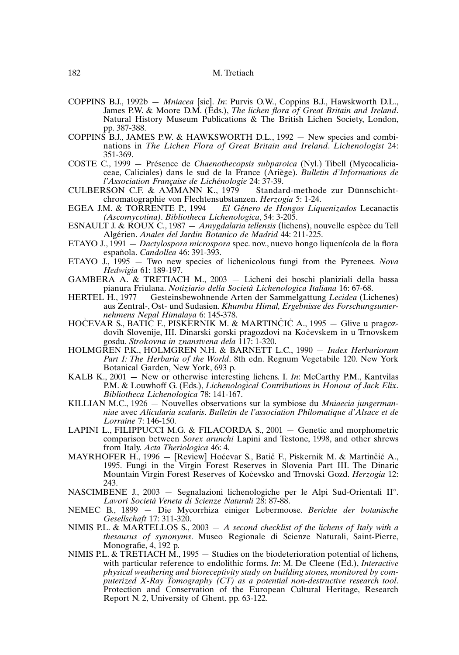- COPPINS B.J., 1992b *Mniacea* [sic]. *In*: Purvis O.W., Coppins B.J., Hawskworth D.L., James P.W. & Moore D.M. (Eds.), *The lichen flora of Great Britain and Ireland*. Natural History Museum Publications & The British Lichen Society, London, pp. 387-388.
- COPPINS B.J., JAMES P.W. & HAWKSWORTH D.L., 1992 New species and combinations in *The Lichen Flora of Great Britain and Ireland*. *Lichenologist* 24: 351-369.
- COSTE C., 1999 Présence de *Chaenothecopsis subparoica* (Nyl.) Tibell (Mycocaliciaceae, Caliciales) dans le sud de la France (Ariège). *Bulletin d'Informations de l'Association Française de Lichénologie* 24: 37-39.
- CULBERSON C.F. & AMMANN K., 1979 Standard-methode zur Dünnschichtchromatographie von Flechtensubstanzen. *Herzogia* 5: 1-24.
- EGEA J.M. & TORRENTE P., 1994 *El Género de Hongos Liquenizados* Lecanactis *(Ascomycotina)*. *Bibliotheca Lichenologica*, 54: 3-205.
- ESNAULT J. & ROUX C., 1987 *Amygdalaria tellensis* (lichens), nouvelle espèce du Tell Algérien. *Anales del Jardin Botanico de Madrid* 44: 211-225.
- ETAYO J., 1991 *Dactylospora microspora* spec. nov., nuevo hongo liquenícola de la flora española. *Candollea* 46: 391-393.
- ETAYO J., 1995 Two new species of lichenicolous fungi from the Pyrenees. *Nova Hedwigia* 61: 189-197.
- GAMBERA A. & TRETIACH M., 2003 Licheni dei boschi planiziali della bassa pianura Friulana. *Notiziario della Società Lichenologica Italiana* 16: 67-68.
- HERTEL H., 1977 Gesteinsbewohnende Arten der Sammelgattung *Lecidea* (Lichenes) aus Zentral-, Ost- und Sudasien. *Khumbu Himal, Ergebnisse des Forschungsunternehmens Nepal Himalaya* 6: 145-378.
- HOCEVAR S., BATIC F., PISKERNIK M. & MARTINCIC A., 1995 Glive u pragozdovih Slovenije, III. Dinarski gorski pragozdovi na Kočevskem in u Trnovskem gosdu. *Strokovna in znanstvena dela* 117: 1-320.
- HOLMGREN P.K., HOLMGREN N.H. & BARNETT L.C., 1990 *Index Herbariorum Part I: The Herbaria of the World*. 8th edn. Regnum Vegetabile 120. New York Botanical Garden, New York, 693 p.
- KALB K., 2001 New or otherwise interesting lichens. I. *In*: McCarthy P.M., Kantvilas P.M. & Louwhoff G. (Eds.), *Lichenological Contributions in Honour of Jack Elix*. *Bibliotheca Lichenologica* 78: 141-167.
- KILLIAN M.C., 1926 Nouvelles observations sur la symbiose du *Mniaecia jungermanniae* avec *Alicularia scalaris*. *Bulletin de l'association Philomatique d'Alsace et de Lorraine* 7: 146-150.
- LAPINI L., FILIPPUCCI M.G. & FILACORDA S., 2001 Genetic and morphometric comparison between *Sorex arunchi* Lapini and Testone, 1998, and other shrews from Italy. *Acta Theriologica* 46: 4.
- MAYRHOFER H., 1996 [Review] Hočevar S., Batič F., Piskernik M. & Martinčič A., 1995. Fungi in the Virgin Forest Reserves in Slovenia Part III. The Dinaric Mountain Virgin Forest Reserves of Kočevsko and Trnovski Gozd. *Herzogia* 12: 243.
- NASCIMBENE J., 2003 Segnalazioni lichenologiche per le Alpi Sud-Orientali II°. *Lavori Società Veneta di Scienze Naturali* 28: 87-88.
- NEMEC B., 1899 Die Mycorrhiza einiger Lebermoose. *Berichte der botanische Gesellschaft* 17: 311-320.
- NIMIS P.L. & MARTELLOS S., 2003 *A second checklist of the lichens of Italy with a thesaurus of synonyms*. Museo Regionale di Scienze Naturali, Saint-Pierre, Monografie, 4, 192 p.
- NIMIS P.L. & TRETIACH  $\dot{M}$ , 1995 Studies on the biodeterioration potential of lichens, with particular reference to endolithic forms. *In*: M. De Cleene (Ed.), *Interactive physical weathering and bioreceptivity study on building stones, monitored by computerized X-Ray Tomography (CT) as a potential non-destructive research tool*. Protection and Conservation of the European Cultural Heritage, Research Report N. 2, University of Ghent, pp. 63-122.